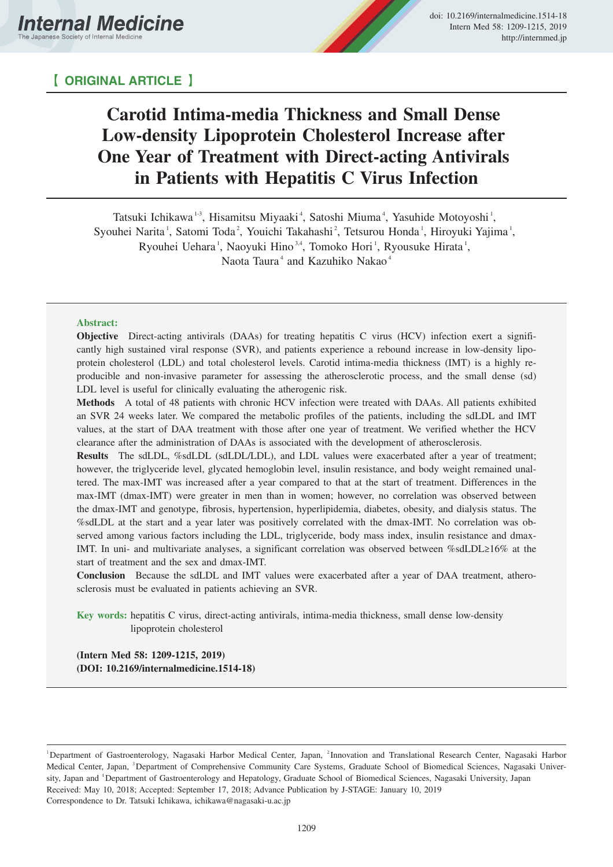

# 【 **ORIGINAL ARTICLE** 】

# **Carotid Intima-media Thickness and Small Dense Low-density Lipoprotein Cholesterol Increase after One Year of Treatment with Direct-acting Antivirals in Patients with Hepatitis C Virus Infection**

Tatsuki Ichikawa<sup>13</sup>, Hisamitsu Miyaaki<sup>4</sup>, Satoshi Miuma<sup>4</sup>, Yasuhide Motoyoshi<sup>1</sup>, Syouhei Narita<sup>1</sup>, Satomi Toda<sup>2</sup>, Youichi Takahashi<sup>2</sup>, Tetsurou Honda<sup>1</sup>, Hiroyuki Yajima<sup>1</sup>, Ryouhei Uehara<sup>1</sup>, Naoyuki Hino<sup>3,4</sup>, Tomoko Hori<sup>1</sup>, Ryousuke Hirata<sup>1</sup>, Naota Taura<sup>4</sup> and Kazuhiko Nakao<sup>4</sup>

## **Abstract:**

**Objective** Direct-acting antivirals (DAAs) for treating hepatitis C virus (HCV) infection exert a significantly high sustained viral response (SVR), and patients experience a rebound increase in low-density lipoprotein cholesterol (LDL) and total cholesterol levels. Carotid intima-media thickness (IMT) is a highly reproducible and non-invasive parameter for assessing the atherosclerotic process, and the small dense (sd) LDL level is useful for clinically evaluating the atherogenic risk.

**Methods** A total of 48 patients with chronic HCV infection were treated with DAAs. All patients exhibited an SVR 24 weeks later. We compared the metabolic profiles of the patients, including the sdLDL and IMT values, at the start of DAA treatment with those after one year of treatment. We verified whether the HCV clearance after the administration of DAAs is associated with the development of atherosclerosis.

**Results** The sdLDL, %sdLDL (sdLDL/LDL), and LDL values were exacerbated after a year of treatment; however, the triglyceride level, glycated hemoglobin level, insulin resistance, and body weight remained unaltered. The max-IMT was increased after a year compared to that at the start of treatment. Differences in the max-IMT (dmax-IMT) were greater in men than in women; however, no correlation was observed between the dmax-IMT and genotype, fibrosis, hypertension, hyperlipidemia, diabetes, obesity, and dialysis status. The %sdLDL at the start and a year later was positively correlated with the dmax-IMT. No correlation was observed among various factors including the LDL, triglyceride, body mass index, insulin resistance and dmax-IMT. In uni- and multivariate analyses, a significant correlation was observed between %sdLDL $\geq$ 16% at the start of treatment and the sex and dmax-IMT.

**Conclusion** Because the sdLDL and IMT values were exacerbated after a year of DAA treatment, atherosclerosis must be evaluated in patients achieving an SVR.

**Key words:** hepatitis C virus, direct-acting antivirals, intima-media thickness, small dense low-density lipoprotein cholesterol

**(Intern Med 58: 1209-1215, 2019) (DOI: 10.2169/internalmedicine.1514-18)**

<sup>&</sup>lt;sup>1</sup>Department of Gastroenterology, Nagasaki Harbor Medical Center, Japan, <sup>2</sup>Innovation and Translational Research Center, Nagasaki Harbor Medical Center, Japan, <sup>3</sup>Department of Comprehensive Community Care Systems, Graduate School of Biomedical Sciences, Nagasaki University, Japan and <sup>4</sup>Department of Gastroenterology and Hepatology, Graduate School of Biomedical Sciences, Nagasaki University, Japan Received: May 10, 2018; Accepted: September 17, 2018; Advance Publication by J-STAGE: January 10, 2019 Correspondence to Dr. Tatsuki Ichikawa, ichikawa@nagasaki-u.ac.jp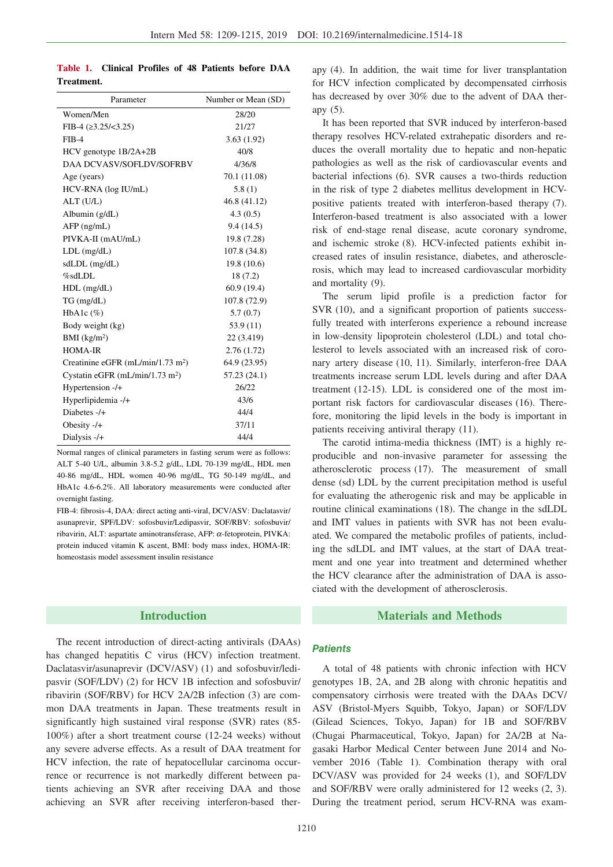**Table 1. Clinical Profiles of 48 Patients before DAA Treatment.**

| Parameter                                     | Number or Mean (SD) |
|-----------------------------------------------|---------------------|
| Women/Men                                     | 28/20               |
| FIB-4 $(23.25/\leq 3.25)$                     | 21/27               |
| $FIB-4$                                       | 3.63(1.92)          |
| HCV genotype 1B/2A+2B                         | 40/8                |
| DAA DCVASV/SOFLDV/SOFRBV                      | 4/36/8              |
| Age (years)                                   | 70.1 (11.08)        |
| HCV-RNA (log IU/mL)                           | 5.8(1)              |
| $ALT$ (U/L)                                   | 46.8 (41.12)        |
| Albumin $(g/dL)$                              | 4.3(0.5)            |
| $AFP$ (ng/mL)                                 | 9.4(14.5)           |
| PIVKA-II (mAU/mL)                             | 19.8 (7.28)         |
| $LDL$ (mg/dL)                                 | 107.8 (34.8)        |
| $sdLDL$ (mg/dL)                               | 19.8 (10.6)         |
| %sdLDL                                        | 18(7.2)             |
| $HDL$ (mg/dL)                                 | 60.9(19.4)          |
| $TG$ (mg/dL)                                  | 107.8 (72.9)        |
| HbA1c $(\%)$                                  | 5.7(0.7)            |
| Body weight (kg)                              | 53.9(11)            |
| BMI (kg/m <sup>2</sup> )                      | 22 (3.419)          |
| HOMA-IR                                       | 2.76(1.72)          |
| Creatinine eGFR (mL/min/1.73 m <sup>2</sup> ) | 64.9 (23.95)        |
| Cystatin eGFR $(mL/min/1.73 m2)$              | 57.23 (24.1)        |
| Hypertension -/+                              | 26/22               |
| Hyperlipidemia -/+                            | 43/6                |
| Diabetes -/+                                  | 44/4                |
| Obesity $-/-$                                 | 37/11               |
| Dialysis -/+                                  | 44/4                |

Normal ranges of clinical parameters in fasting serum were as follows: ALT 5-40 U/L, albumin 3.8-5.2 g/dL, LDL 70-139 mg/dL, HDL men 40-86 mg/dL, HDL women 40-96 mg/dL, TG 50-149 mg/dL, and HbA1c 4.6-6.2%. All laboratory measurements were conducted after overnight fasting.

FIB-4: fibrosis-4, DAA: direct acting anti-viral, DCV/ASV: Daclatasvir/ asunaprevir, SPF/LDV: sofosbuvir/Ledipasvir, SOF/RBV: sofosbuvir/ ribavirin, ALT: aspartate aminotransferase, AFP: <sup>α</sup>-fetoprotein, PIVKA: protein induced vitamin K ascent, BMI: body mass index, HOMA-IR: homeostasis model assessment insulin resistance

# **Introduction**

The recent introduction of direct-acting antivirals (DAAs) has changed hepatitis C virus (HCV) infection treatment. Daclatasvir/asunaprevir (DCV/ASV) (1) and sofosbuvir/ledipasvir (SOF/LDV) (2) for HCV 1B infection and sofosbuvir/ ribavirin (SOF/RBV) for HCV 2A/2B infection (3) are common DAA treatments in Japan. These treatments result in significantly high sustained viral response (SVR) rates (85- 100%) after a short treatment course (12-24 weeks) without any severe adverse effects. As a result of DAA treatment for HCV infection, the rate of hepatocellular carcinoma occurrence or recurrence is not markedly different between patients achieving an SVR after receiving DAA and those achieving an SVR after receiving interferon-based therapy (4). In addition, the wait time for liver transplantation for HCV infection complicated by decompensated cirrhosis has decreased by over 30% due to the advent of DAA therapy (5).

It has been reported that SVR induced by interferon-based therapy resolves HCV-related extrahepatic disorders and reduces the overall mortality due to hepatic and non-hepatic pathologies as well as the risk of cardiovascular events and bacterial infections (6). SVR causes a two-thirds reduction in the risk of type 2 diabetes mellitus development in HCVpositive patients treated with interferon-based therapy (7). Interferon-based treatment is also associated with a lower risk of end-stage renal disease, acute coronary syndrome, and ischemic stroke (8). HCV-infected patients exhibit increased rates of insulin resistance, diabetes, and atherosclerosis, which may lead to increased cardiovascular morbidity and mortality (9).

The serum lipid profile is a prediction factor for SVR (10), and a significant proportion of patients successfully treated with interferons experience a rebound increase in low-density lipoprotein cholesterol (LDL) and total cholesterol to levels associated with an increased risk of coronary artery disease (10, 11). Similarly, interferon-free DAA treatments increase serum LDL levels during and after DAA treatment (12-15). LDL is considered one of the most important risk factors for cardiovascular diseases (16). Therefore, monitoring the lipid levels in the body is important in patients receiving antiviral therapy (11).

The carotid intima-media thickness (IMT) is a highly reproducible and non-invasive parameter for assessing the atherosclerotic process (17). The measurement of small dense (sd) LDL by the current precipitation method is useful for evaluating the atherogenic risk and may be applicable in routine clinical examinations (18). The change in the sdLDL and IMT values in patients with SVR has not been evaluated. We compared the metabolic profiles of patients, including the sdLDL and IMT values, at the start of DAA treatment and one year into treatment and determined whether the HCV clearance after the administration of DAA is associated with the development of atherosclerosis.

# **Materials and Methods**

#### **Patients**

A total of 48 patients with chronic infection with HCV genotypes 1B, 2A, and 2B along with chronic hepatitis and compensatory cirrhosis were treated with the DAAs DCV/ ASV (Bristol-Myers Squibb, Tokyo, Japan) or SOF/LDV (Gilead Sciences, Tokyo, Japan) for 1B and SOF/RBV (Chugai Pharmaceutical, Tokyo, Japan) for 2A/2B at Nagasaki Harbor Medical Center between June 2014 and November 2016 (Table 1). Combination therapy with oral DCV/ASV was provided for 24 weeks (1), and SOF/LDV and SOF/RBV were orally administered for 12 weeks (2, 3). During the treatment period, serum HCV-RNA was exam-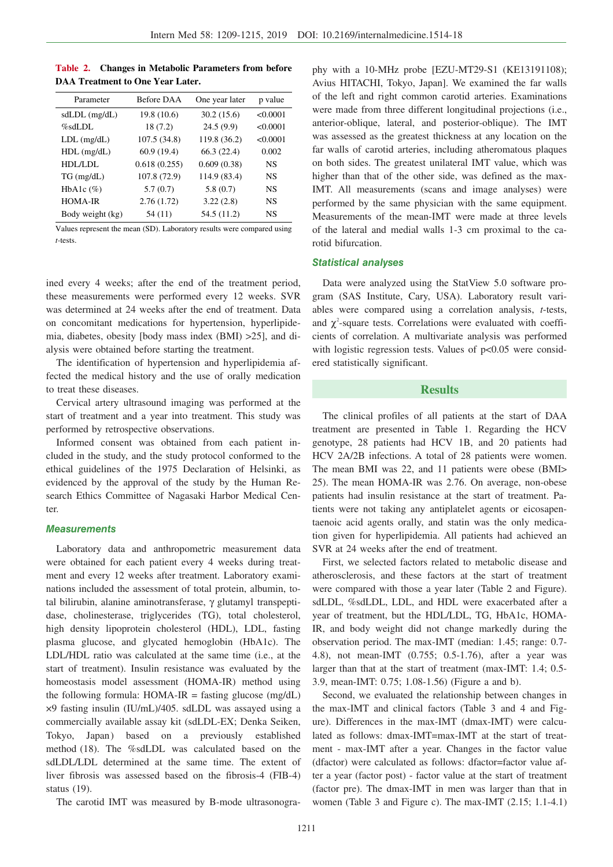| Table 2. Changes in Metabolic Parameters from before |  |                                     |  |  |  |
|------------------------------------------------------|--|-------------------------------------|--|--|--|
| <b>DAA Treatment to One Year Later.</b>              |  |                                     |  |  |  |
| <b>D</b> oromatar                                    |  | $Rafore DAA$ One vear later n value |  |  |  |

| Parameter        | <b>Before DAA</b> |              | p value   |
|------------------|-------------------|--------------|-----------|
| $sdLDL$ (mg/dL)  | 19.8(10.6)        | 30.2(15.6)   | < 0.0001  |
| $\%$ sdLDL       | 18(7.2)           | 24.5(9.9)    | < 0.0001  |
| $LDL$ (mg/dL)    | 107.5 (34.8)      | 119.8 (36.2) | < 0.0001  |
| $HDL$ (mg/dL)    | 60.9 (19.4)       | 66.3(22.4)   | 0.002     |
| HDL/LDL          | 0.618(0.255)      | 0.609(0.38)  | <b>NS</b> |
| $TG$ (mg/dL)     | 107.8 (72.9)      | 114.9 (83.4) | <b>NS</b> |
| HbA1c $(\%)$     | 5.7(0.7)          | 5.8(0.7)     | <b>NS</b> |
| <b>HOMA-IR</b>   | 2.76(1.72)        | 3.22(2.8)    | <b>NS</b> |
| Body weight (kg) | 54 (11)           | 54.5 (11.2)  | NS        |
|                  |                   |              |           |

Values represent the mean (SD). Laboratory results were compared using *t-*tests.

ined every 4 weeks; after the end of the treatment period, these measurements were performed every 12 weeks. SVR was determined at 24 weeks after the end of treatment. Data on concomitant medications for hypertension, hyperlipidemia, diabetes, obesity [body mass index (BMI) >25], and dialysis were obtained before starting the treatment.

The identification of hypertension and hyperlipidemia affected the medical history and the use of orally medication to treat these diseases.

Cervical artery ultrasound imaging was performed at the start of treatment and a year into treatment. This study was performed by retrospective observations.

Informed consent was obtained from each patient included in the study, and the study protocol conformed to the ethical guidelines of the 1975 Declaration of Helsinki, as evidenced by the approval of the study by the Human Research Ethics Committee of Nagasaki Harbor Medical Center.

### **Measurements**

Laboratory data and anthropometric measurement data were obtained for each patient every 4 weeks during treatment and every 12 weeks after treatment. Laboratory examinations included the assessment of total protein, albumin, total bilirubin, alanine aminotransferase, γ glutamyl transpeptidase, cholinesterase, triglycerides (TG), total cholesterol, high density lipoprotein cholesterol (HDL), LDL, fasting plasma glucose, and glycated hemoglobin (HbA1c). The LDL/HDL ratio was calculated at the same time (i.e., at the start of treatment). Insulin resistance was evaluated by the homeostasis model assessment (HOMA-IR) method using the following formula:  $HOMA-IR =$  fasting glucose (mg/dL) ×9 fasting insulin (IU/mL)/405. sdLDL was assayed using a commercially available assay kit (sdLDL-EX; Denka Seiken, Tokyo, Japan) based on a previously established method (18). The %sdLDL was calculated based on the sdLDL/LDL determined at the same time. The extent of liver fibrosis was assessed based on the fibrosis-4 (FIB-4) status (19).

The carotid IMT was measured by B-mode ultrasonogra-

phy with a 10-MHz probe [EZU-MT29-S1 (KE13191108); Avius HITACHI, Tokyo, Japan]. We examined the far walls of the left and right common carotid arteries. Examinations were made from three different longitudinal projections (i.e., anterior-oblique, lateral, and posterior-oblique). The IMT was assessed as the greatest thickness at any location on the far walls of carotid arteries, including atheromatous plaques on both sides. The greatest unilateral IMT value, which was higher than that of the other side, was defined as the max-IMT. All measurements (scans and image analyses) were performed by the same physician with the same equipment. Measurements of the mean-IMT were made at three levels of the lateral and medial walls 1-3 cm proximal to the carotid bifurcation.

#### **Statistical analyses**

Data were analyzed using the StatView 5.0 software program (SAS Institute, Cary, USA). Laboratory result variables were compared using a correlation analysis, *t*-tests, and  $\chi^2$ -square tests. Correlations were evaluated with coefficients of correlation. A multivariate analysis was performed with logistic regression tests. Values of  $p<0.05$  were considered statistically significant.

#### **Results**

The clinical profiles of all patients at the start of DAA treatment are presented in Table 1. Regarding the HCV genotype, 28 patients had HCV 1B, and 20 patients had HCV 2A/2B infections. A total of 28 patients were women. The mean BMI was 22, and 11 patients were obese (BMI> 25). The mean HOMA-IR was 2.76. On average, non-obese patients had insulin resistance at the start of treatment. Patients were not taking any antiplatelet agents or eicosapentaenoic acid agents orally, and statin was the only medication given for hyperlipidemia. All patients had achieved an SVR at 24 weeks after the end of treatment.

First, we selected factors related to metabolic disease and atherosclerosis, and these factors at the start of treatment were compared with those a year later (Table 2 and Figure). sdLDL, %sdLDL, LDL, and HDL were exacerbated after a year of treatment, but the HDL/LDL, TG, HbA1c, HOMA-IR, and body weight did not change markedly during the observation period. The max-IMT (median: 1.45; range: 0.7- 4.8), not mean-IMT (0.755; 0.5-1.76), after a year was larger than that at the start of treatment (max-IMT: 1.4; 0.5- 3.9, mean-IMT: 0.75; 1.08-1.56) (Figure a and b).

Second, we evaluated the relationship between changes in the max-IMT and clinical factors (Table 3 and 4 and Figure). Differences in the max-IMT (dmax-IMT) were calculated as follows: dmax-IMT=max-IMT at the start of treatment - max-IMT after a year. Changes in the factor value (dfactor) were calculated as follows: dfactor=factor value after a year (factor post) - factor value at the start of treatment (factor pre). The dmax-IMT in men was larger than that in women (Table 3 and Figure c). The max-IMT (2.15; 1.1-4.1)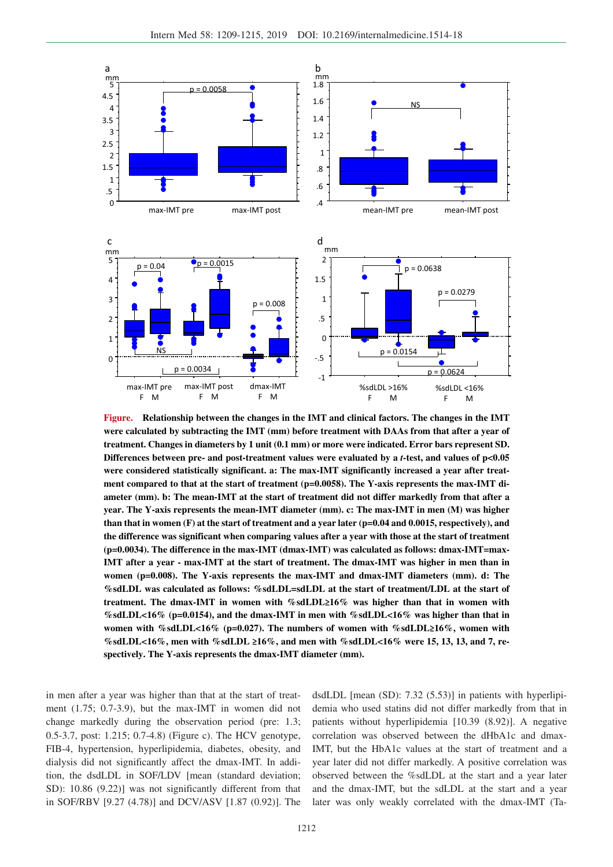

**Figure. Relationship between the changes in the IMT and clinical factors. The changes in the IMT were calculated by subtracting the IMT (mm) before treatment with DAAs from that after a year of treatment. Changes in diameters by 1 unit (0.1 mm) or more were indicated. Error bars represent SD. Differences between pre- and post-treatment values were evaluated by a** *t-***test, and values of p<0.05 were considered statistically significant. a: The max-IMT significantly increased a year after treat**ment compared to that at the start of treatment (p=0.0058). The Y-axis represents the max-IMT di**ameter (mm). b: The mean-IMT at the start of treatment did not differ markedly from that after a year. The Y-axis represents the mean-IMT diameter (mm). c: The max-IMT in men (M) was higher than that in women (F) at the start of treatment and a year later (p=0.04 and 0.0015, respectively), and the difference was significant when comparing values after a year with those at the start of treatment (p=0.0034). The difference in the max-IMT (dmax-IMT) was calculated as follows: dmax-IMT=max-IMT after a year - max-IMT at the start of treatment. The dmax-IMT was higher in men than in women (p=0.008). The Y-axis represents the max-IMT and dmax-IMT diameters (mm). d: The %sdLDL was calculated as follows: %sdLDL=sdLDL at the start of treatment/LDL at the start of treatment. The dmax-IMT in women with %sdLDL≥16% was higher than that in women with %sdLDL<16% (p=0.0154), and the dmax-IMT in men with %sdLDL<16% was higher than that in women with %sdLDL<16% (p=0.027). The numbers of women with %sdLDL≥16%, women with %sdLDL<16%, men with %sdLDL ≥16%, and men with %sdLDL<16% were 15, 13, 13, and 7, respectively. The Y-axis represents the dmax-IMT diameter (mm).**

in men after a year was higher than that at the start of treatment (1.75; 0.7-3.9), but the max-IMT in women did not change markedly during the observation period (pre: 1.3; 0.5-3.7, post: 1.215; 0.7-4.8) (Figure c). The HCV genotype, FIB-4, hypertension, hyperlipidemia, diabetes, obesity, and dialysis did not significantly affect the dmax-IMT. In addition, the dsdLDL in SOF/LDV [mean (standard deviation; SD): 10.86 (9.22)] was not significantly different from that in SOF/RBV [9.27 (4.78)] and DCV/ASV [1.87 (0.92)]. The

dsdLDL [mean (SD): 7.32 (5.53)] in patients with hyperlipidemia who used statins did not differ markedly from that in patients without hyperlipidemia [10.39 (8.92)]. A negative correlation was observed between the dHbA1c and dmax-IMT, but the HbA1c values at the start of treatment and a year later did not differ markedly. A positive correlation was observed between the %sdLDL at the start and a year later and the dmax-IMT, but the sdLDL at the start and a year later was only weakly correlated with the dmax-IMT (Ta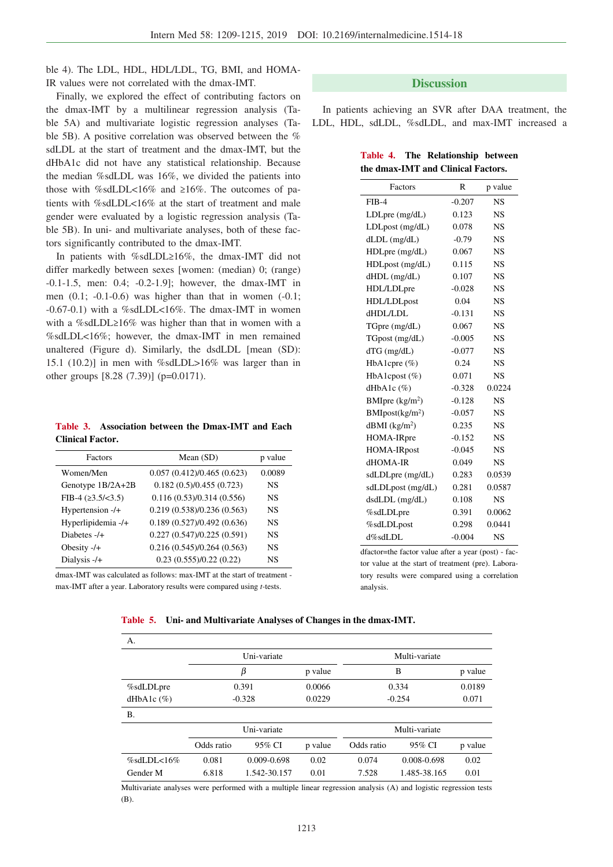ble 4). The LDL, HDL, HDL/LDL, TG, BMI, and HOMA-IR values were not correlated with the dmax-IMT.

Finally, we explored the effect of contributing factors on the dmax-IMT by a multilinear regression analysis (Table 5A) and multivariate logistic regression analyses (Table 5B). A positive correlation was observed between the % sdLDL at the start of treatment and the dmax-IMT, but the dHbA1c did not have any statistical relationship. Because the median %sdLDL was 16%, we divided the patients into those with %sdLDL<16% and  $\geq 16\%$ . The outcomes of patients with %sdLDL<16% at the start of treatment and male gender were evaluated by a logistic regression analysis (Table 5B). In uni- and multivariate analyses, both of these factors significantly contributed to the dmax-IMT.

In patients with %sdLDL $\geq 16\%$ , the dmax-IMT did not differ markedly between sexes [women: (median) 0; (range) -0.1-1.5, men: 0.4; -0.2-1.9]; however, the dmax-IMT in men  $(0.1; -0.1-0.6)$  was higher than that in women  $(-0.1;$ -0.67-0.1) with a %sdLDL<16%. The dmax-IMT in women with a %sdLDL $\geq$ 16% was higher than that in women with a %sdLDL<16%; however, the dmax-IMT in men remained unaltered (Figure d). Similarly, the dsdLDL [mean (SD): 15.1 (10.2)] in men with %sdLDL>16% was larger than in other groups [8.28 (7.39)] (p=0.0171).

**Table 3. Association between the Dmax-IMT and Each Clinical Factor.**

| Factors                | Mean $(SD)$                    | p value   |
|------------------------|--------------------------------|-----------|
| Women/Men              | 0.057(0.412)/0.465(0.623)      | 0.0089    |
| Genotype 1B/2A+2B      | 0.182(0.5)/0.455(0.723)        | <b>NS</b> |
| FIB-4 $(23.5/\leq3.5)$ | 0.116(0.53)/0.314(0.556)       | NS.       |
| Hypertension -/+       | 0.219(0.538)/0.236(0.563)      | NS.       |
| Hyperlipidemia -/+     | 0.189 (0.527)/0.492 (0.636)    | NS.       |
| Diabetes $-/-$         | 0.227(0.547)/0.225(0.591)      | NS.       |
| Obesity $-/-$          | 0.216(0.545)/0.264(0.563)      | NS.       |
| Dialysis $-/-$         | $0.23$ $(0.555)/0.22$ $(0.22)$ | NS.       |

dmax-IMT was calculated as follows: max-IMT at the start of treatment max-IMT after a year. Laboratory results were compared using *t-*tests.

# **Discussion**

In patients achieving an SVR after DAA treatment, the LDL, HDL, sdLDL, %sdLDL, and max-IMT increased a

**Table 4. The Relationship between the dmax-IMT and Clinical Factors.**

| Factors                      | R        | p value   |
|------------------------------|----------|-----------|
| $FIB-4$                      | $-0.207$ | <b>NS</b> |
| $LDLpre$ (mg/dL)             | 0.123    | NS        |
| LDLpost (mg/dL)              | 0.078    | <b>NS</b> |
| $dLDL$ (mg/ $dL$ )           | $-0.79$  | <b>NS</b> |
| $HDLpre$ (mg/dL)             | 0.067    | <b>NS</b> |
| HDLpost (mg/dL)              | 0.115    | <b>NS</b> |
| $dHDL$ (mg/ $dL$ )           | 0.107    | <b>NS</b> |
| HDL/LDLpre                   | $-0.028$ | <b>NS</b> |
| HDL/LDLpost                  | 0.04     | <b>NS</b> |
| dHDL/LDL                     | $-0.131$ | <b>NS</b> |
| $TGpre$ (mg/dL)              | 0.067    | <b>NS</b> |
| TGpost (mg/dL)               | $-0.005$ | <b>NS</b> |
| $dTG$ (mg/ $dL$ )            | $-0.077$ | NS        |
| HbA1cpre (%)                 | 0.24     | <b>NS</b> |
| HbA1cpost $(\%)$             | 0.071    | <b>NS</b> |
| dHbA1c $(\%)$                | $-0.328$ | 0.0224    |
| BMIpre $(kg/m2)$             | $-0.128$ | <b>NS</b> |
| BMIpost(kg/m <sup>2</sup> )  | $-0.057$ | NS        |
| $d$ BMI (kg/m <sup>2</sup> ) | 0.235    | <b>NS</b> |
| HOMA-IRpre                   | $-0.152$ | <b>NS</b> |
| <b>HOMA-IRpost</b>           | $-0.045$ | <b>NS</b> |
| dHOMA-IR                     | 0.049    | <b>NS</b> |
| sdLDLpre (mg/dL)             | 0.283    | 0.0539    |
| sdLDLpost (mg/dL)            | 0.281    | 0.0587    |
| $dsdLDL$ (mg/dL)             | 0.108    | <b>NS</b> |
| %sdLDLpre                    | 0.391    | 0.0062    |
| %sdLDLpost                   | 0.298    | 0.0441    |
| d%sdLDL                      | $-0.004$ | <b>NS</b> |

dfactor=the factor value after a year (post) - factor value at the start of treatment (pre). Laboratory results were compared using a correlation analysis.

#### **Table 5. Uni- and Multivariate Analyses of Changes in the dmax-IMT.**

| А.             |             |                 |               |               |              |         |
|----------------|-------------|-----------------|---------------|---------------|--------------|---------|
|                | Uni-variate |                 |               | Multi-variate |              |         |
|                |             | β               | p value       | B             |              | p value |
| %sdLDLpre      |             | 0.391           | 0.0066        |               | 0.334        | 0.0189  |
| dHbA1c $(\%)$  |             | $-0.328$        | 0.0229        |               | $-0.254$     | 0.071   |
| <b>B.</b>      |             |                 |               |               |              |         |
|                | Uni-variate |                 | Multi-variate |               |              |         |
|                | Odds ratio  | 95% CI          | p value       | Odds ratio    | 95% CI       | p value |
| $\%$ sdLDL<16% | 0.081       | $0.009 - 0.698$ | 0.02          | 0.074         | 0.008-0.698  | 0.02    |
| Gender M       | 6.818       | 1.542-30.157    | 0.01          | 7.528         | 1.485-38.165 | 0.01    |

Multivariate analyses were performed with a multiple linear regression analysis (A) and logistic regression tests (B).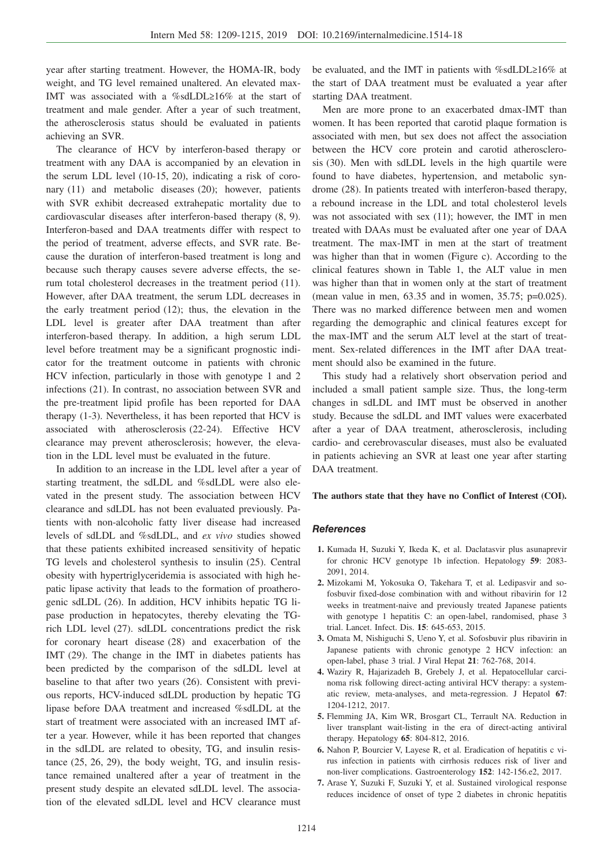year after starting treatment. However, the HOMA-IR, body weight, and TG level remained unaltered. An elevated max-IMT was associated with a %sdLDL≥16% at the start of treatment and male gender. After a year of such treatment, the atherosclerosis status should be evaluated in patients achieving an SVR.

The clearance of HCV by interferon-based therapy or treatment with any DAA is accompanied by an elevation in the serum LDL level (10-15, 20), indicating a risk of coronary (11) and metabolic diseases (20); however, patients with SVR exhibit decreased extrahepatic mortality due to cardiovascular diseases after interferon-based therapy (8, 9). Interferon-based and DAA treatments differ with respect to the period of treatment, adverse effects, and SVR rate. Because the duration of interferon-based treatment is long and because such therapy causes severe adverse effects, the serum total cholesterol decreases in the treatment period (11). However, after DAA treatment, the serum LDL decreases in the early treatment period (12); thus, the elevation in the LDL level is greater after DAA treatment than after interferon-based therapy. In addition, a high serum LDL level before treatment may be a significant prognostic indicator for the treatment outcome in patients with chronic HCV infection, particularly in those with genotype 1 and 2 infections (21). In contrast, no association between SVR and the pre-treatment lipid profile has been reported for DAA therapy (1-3). Nevertheless, it has been reported that HCV is associated with atherosclerosis (22-24). Effective HCV clearance may prevent atherosclerosis; however, the elevation in the LDL level must be evaluated in the future.

In addition to an increase in the LDL level after a year of starting treatment, the sdLDL and %sdLDL were also elevated in the present study. The association between HCV clearance and sdLDL has not been evaluated previously. Patients with non-alcoholic fatty liver disease had increased levels of sdLDL and %sdLDL, and *ex vivo* studies showed that these patients exhibited increased sensitivity of hepatic TG levels and cholesterol synthesis to insulin (25). Central obesity with hypertriglyceridemia is associated with high hepatic lipase activity that leads to the formation of proatherogenic sdLDL (26). In addition, HCV inhibits hepatic TG lipase production in hepatocytes, thereby elevating the TGrich LDL level (27). sdLDL concentrations predict the risk for coronary heart disease (28) and exacerbation of the IMT (29). The change in the IMT in diabetes patients has been predicted by the comparison of the sdLDL level at baseline to that after two years (26). Consistent with previous reports, HCV-induced sdLDL production by hepatic TG lipase before DAA treatment and increased %sdLDL at the start of treatment were associated with an increased IMT after a year. However, while it has been reported that changes in the sdLDL are related to obesity, TG, and insulin resistance (25, 26, 29), the body weight, TG, and insulin resistance remained unaltered after a year of treatment in the present study despite an elevated sdLDL level. The association of the elevated sdLDL level and HCV clearance must

be evaluated, and the IMT in patients with  $\%$ sdLDL $\geq$ 16% at the start of DAA treatment must be evaluated a year after starting DAA treatment.

Men are more prone to an exacerbated dmax-IMT than women. It has been reported that carotid plaque formation is associated with men, but sex does not affect the association between the HCV core protein and carotid atherosclerosis (30). Men with sdLDL levels in the high quartile were found to have diabetes, hypertension, and metabolic syndrome (28). In patients treated with interferon-based therapy, a rebound increase in the LDL and total cholesterol levels was not associated with sex (11); however, the IMT in men treated with DAAs must be evaluated after one year of DAA treatment. The max-IMT in men at the start of treatment was higher than that in women (Figure c). According to the clinical features shown in Table 1, the ALT value in men was higher than that in women only at the start of treatment (mean value in men, 63.35 and in women, 35.75; p=0.025). There was no marked difference between men and women regarding the demographic and clinical features except for the max-IMT and the serum ALT level at the start of treatment. Sex-related differences in the IMT after DAA treatment should also be examined in the future.

This study had a relatively short observation period and included a small patient sample size. Thus, the long-term changes in sdLDL and IMT must be observed in another study. Because the sdLDL and IMT values were exacerbated after a year of DAA treatment, atherosclerosis, including cardio- and cerebrovascular diseases, must also be evaluated in patients achieving an SVR at least one year after starting DAA treatment.

#### **The authors state that they have no Conflict of Interest (COI).**

#### **References**

- **1.** Kumada H, Suzuki Y, Ikeda K, et al. Daclatasvir plus asunaprevir for chronic HCV genotype 1b infection. Hepatology **59**: 2083- 2091, 2014.
- **2.** Mizokami M, Yokosuka O, Takehara T, et al. Ledipasvir and sofosbuvir fixed-dose combination with and without ribavirin for 12 weeks in treatment-naive and previously treated Japanese patients with genotype 1 hepatitis C: an open-label, randomised, phase 3 trial. Lancet. Infect. Dis. **15**: 645-653, 2015.
- **3.** Omata M, Nishiguchi S, Ueno Y, et al. Sofosbuvir plus ribavirin in Japanese patients with chronic genotype 2 HCV infection: an open-label, phase 3 trial. J Viral Hepat **21**: 762-768, 2014.
- **4.** Waziry R, Hajarizadeh B, Grebely J, et al. Hepatocellular carcinoma risk following direct-acting antiviral HCV therapy: a systematic review, meta-analyses, and meta-regression. J Hepatol **67**: 1204-1212, 2017.
- **5.** Flemming JA, Kim WR, Brosgart CL, Terrault NA. Reduction in liver transplant wait-listing in the era of direct-acting antiviral therapy. Hepatology **65**: 804-812, 2016.
- **6.** Nahon P, Bourcier V, Layese R, et al. Eradication of hepatitis c virus infection in patients with cirrhosis reduces risk of liver and non-liver complications. Gastroenterology **152**: 142-156.e2, 2017.
- **7.** Arase Y, Suzuki F, Suzuki Y, et al. Sustained virological response reduces incidence of onset of type 2 diabetes in chronic hepatitis